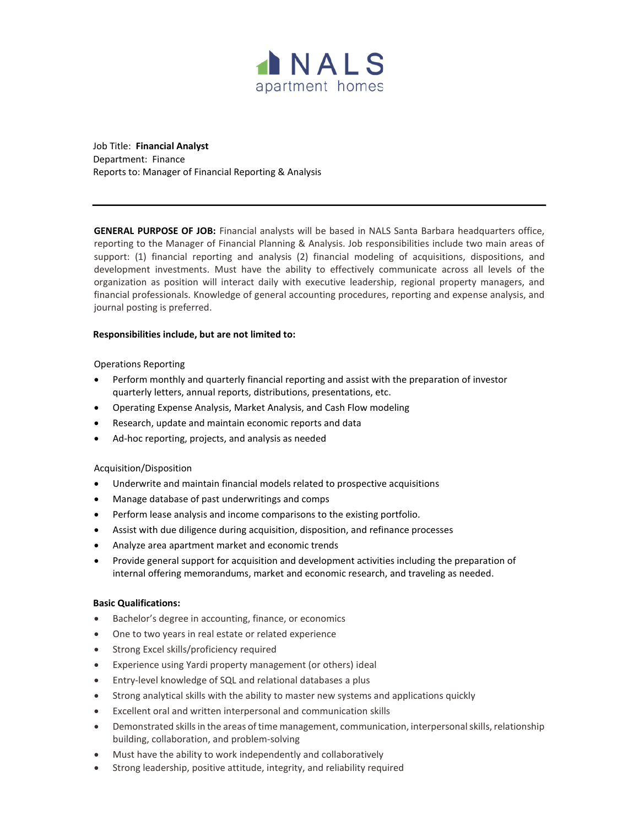

Job Title: **Financial Analyst**  Department: Finance Reports to: Manager of Financial Reporting & Analysis

**GENERAL PURPOSE OF JOB:** Financial analysts will be based in NALS Santa Barbara headquarters office, reporting to the Manager of Financial Planning & Analysis. Job responsibilities include two main areas of support: (1) financial reporting and analysis (2) financial modeling of acquisitions, dispositions, and development investments. Must have the ability to effectively communicate across all levels of the organization as position will interact daily with executive leadership, regional property managers, and financial professionals. Knowledge of general accounting procedures, reporting and expense analysis, and journal posting is preferred.

## **Responsibilities include, but are not limited to:**

Operations Reporting

- Perform monthly and quarterly financial reporting and assist with the preparation of investor quarterly letters, annual reports, distributions, presentations, etc.
- Operating Expense Analysis, Market Analysis, and Cash Flow modeling
- Research, update and maintain economic reports and data
- Ad-hoc reporting, projects, and analysis as needed

## Acquisition/Disposition

- Underwrite and maintain financial models related to prospective acquisitions
- Manage database of past underwritings and comps
- Perform lease analysis and income comparisons to the existing portfolio.
- Assist with due diligence during acquisition, disposition, and refinance processes
- Analyze area apartment market and economic trends
- Provide general support for acquisition and development activities including the preparation of internal offering memorandums, market and economic research, and traveling as needed.

## **Basic Qualifications:**

- Bachelor's degree in accounting, finance, or economics
- One to two years in real estate or related experience
- Strong Excel skills/proficiency required
- Experience using Yardi property management (or others) ideal
- Entry-level knowledge of SQL and relational databases a plus
- Strong analytical skills with the ability to master new systems and applications quickly
- Excellent oral and written interpersonal and communication skills
- Demonstrated skills in the areas of time management, communication, interpersonal skills, relationship building, collaboration, and problem-solving
- Must have the ability to work independently and collaboratively
- Strong leadership, positive attitude, integrity, and reliability required